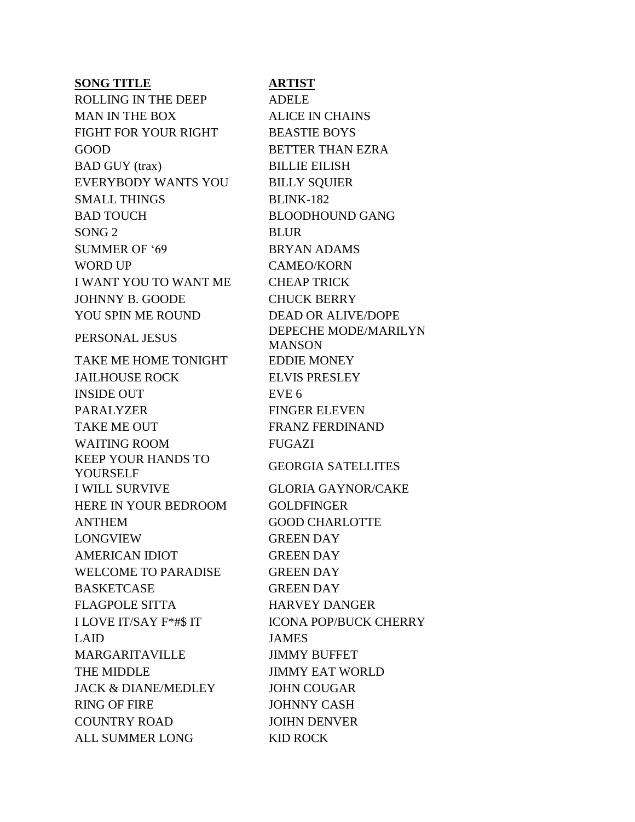| <b>SONG TITLE</b>              | <b>ARTIST</b>       |
|--------------------------------|---------------------|
| <b>ROLLING IN THE DEEP</b>     | <b>ADELE</b>        |
| <b>MAN IN THE BOX</b>          | <b>ALICE IN CH</b>  |
| FIGHT FOR YOUR RIGHT           | <b>BEASTIE BO</b>   |
| <b>GOOD</b>                    | <b>BETTER THA</b>   |
| <b>BAD GUY</b> (trax)          | <b>BILLIE EILIS</b> |
| EVERYBODY WANTS YOU            | <b>BILLY SQUII</b>  |
| <b>SMALL THINGS</b>            | <b>BLINK-182</b>    |
| <b>BAD TOUCH</b>               | <b>BLOODHOU</b>     |
| SONG <sub>2</sub>              | <b>BLUR</b>         |
| SUMMER OF '69                  | <b>BRYAN ADA</b>    |
| <b>WORD UP</b>                 | CAMEO/KOF           |
| <b>I WANT YOU TO WANT ME</b>   | <b>CHEAP TRIC</b>   |
| JOHNNY B. GOODE                | <b>CHUCK BER</b>    |
| YOU SPIN ME ROUND              | <b>DEAD OR AI</b>   |
| PERSONAL JESUS                 | <b>DEPECHE M</b>    |
|                                | <b>MANSON</b>       |
| TAKE ME HOME TONIGHT           | <b>EDDIE MONI</b>   |
| <b>JAILHOUSE ROCK</b>          | <b>ELVIS PRESI</b>  |
| <b>INSIDE OUT</b>              | EVE <sub>6</sub>    |
| <b>PARALYZER</b>               | <b>FINGER ELE</b>   |
| <b>TAKE ME OUT</b>             | <b>FRANZ FERI</b>   |
| <b>WAITING ROOM</b>            | <b>FUGAZI</b>       |
| <b>KEEP YOUR HANDS TO</b>      | <b>GEORGIA SA</b>   |
| YOURSELF                       |                     |
| <b>I WILL SURVIVE</b>          | <b>GLORIA GAY</b>   |
| HERE IN YOUR BEDROOM           | <b>GOLDFINGE</b>    |
| <b>ANTHEM</b>                  | <b>GOOD CHAR</b>    |
| <b>LONGVIEW</b>                | <b>GREEN DAY</b>    |
| <b>AMERICAN IDIOT</b>          | <b>GREEN DAY</b>    |
| <b>WELCOME TO PARADISE</b>     | <b>GREEN DAY</b>    |
| <b>BASKETCASE</b>              | <b>GREEN DAY</b>    |
| <b>FLAGPOLE SITTA</b>          | <b>HARVEY DA</b>    |
| <b>I LOVE IT/SAY F*#\$ IT</b>  | <b>ICONA POP/I</b>  |
| <b>LAID</b>                    | <b>JAMES</b>        |
| MARGARITAVILLE                 | <b>JIMMY BUFF</b>   |
| THE MIDDLE                     | <b>JIMMY EAT</b>    |
| <b>JACK &amp; DIANE/MEDLEY</b> | <b>JOHN COUG</b>    |
| <b>RING OF FIRE</b>            | <b>JOHNNY CA</b>    |
| <b>COUNTRY ROAD</b>            | <b>JOIHN DENV</b>   |
| ALL SUMMER LONG                | <b>KID ROCK</b>     |

N CHAINS  $E$  BOYS THAN EZRA **EILISH** QUIER HOUND GANG ADAMS **KORN TRICK BERRY** R ALIVE/DOPE **IE MODE/MARILYN**  $\overline{\mathsf{N}}$ **TONEY** RESLEY **ELEVEN** FERDINAND A SATELLITES GAYNOR/CAKE NGER<sub>.</sub> **HARLOTTE** Y DANGER **POP/BUCK CHERRY BUFFET EAT WORLD DUGAR** CASH **ENVER**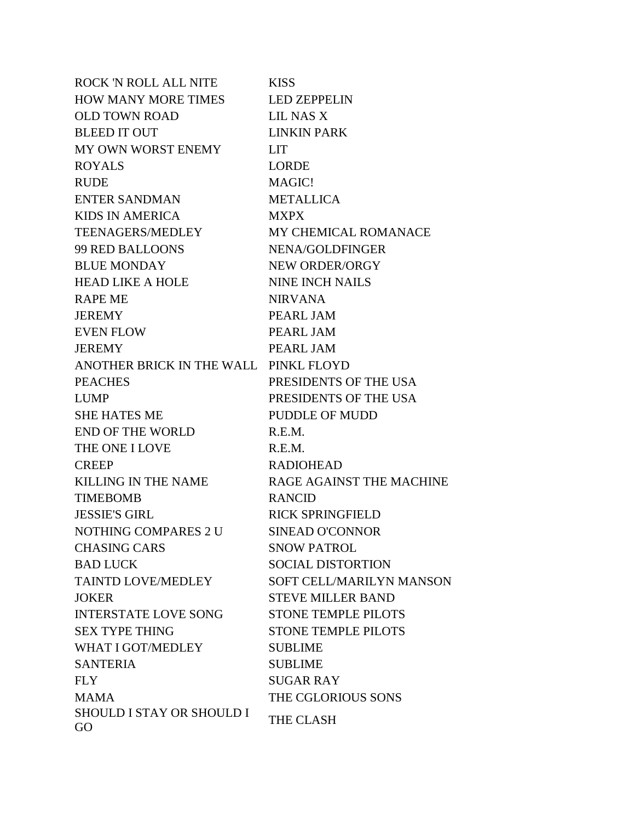| <b>ROCK 'N ROLL ALL NITE</b>           | <b>KISS</b>                |
|----------------------------------------|----------------------------|
| <b>HOW MANY MORE TIMES</b>             | <b>LED ZEPPELIN</b>        |
| <b>OLD TOWN ROAD</b>                   | LIL NAS X                  |
| <b>BLEED IT OUT</b>                    | <b>LINKIN PARK</b>         |
| MY OWN WORST ENEMY                     | <b>LIT</b>                 |
| <b>ROYALS</b>                          | <b>LORDE</b>               |
| <b>RUDE</b>                            | MAGIC!                     |
| <b>ENTER SANDMAN</b>                   | <b>METALLICA</b>           |
| <b>KIDS IN AMERICA</b>                 | <b>MXPX</b>                |
| <b>TEENAGERS/MEDLEY</b>                | MY CHEMICAL ROMANACE       |
| <b>99 RED BALLOONS</b>                 | NENA/GOLDFINGER            |
| <b>BLUE MONDAY</b>                     | NEW ORDER/ORGY             |
| <b>HEAD LIKE A HOLE</b>                | <b>NINE INCH NAILS</b>     |
| <b>RAPE ME</b>                         | <b>NIRVANA</b>             |
| <b>JEREMY</b>                          | PEARL JAM                  |
| <b>EVEN FLOW</b>                       | PEARL JAM                  |
| <b>JEREMY</b>                          | PEARL JAM                  |
| ANOTHER BRICK IN THE WALL PINKL FLOYD  |                            |
| <b>PEACHES</b>                         | PRESIDENTS OF THE USA      |
| <b>LUMP</b>                            | PRESIDENTS OF THE USA      |
| <b>SHE HATES ME</b>                    | <b>PUDDLE OF MUDD</b>      |
| <b>END OF THE WORLD</b>                | R.E.M.                     |
| THE ONE I LOVE                         | R.E.M.                     |
| <b>CREEP</b>                           | <b>RADIOHEAD</b>           |
| <b>KILLING IN THE NAME</b>             | RAGE AGAINST THE MACHINE   |
| <b>TIMEBOMB</b>                        | <b>RANCID</b>              |
| <b>JESSIE'S GIRL</b>                   | <b>RICK SPRINGFIELD</b>    |
| NOTHING COMPARES 2 U                   | <b>SINEAD O'CONNOR</b>     |
| <b>CHASING CARS</b>                    | <b>SNOW PATROL</b>         |
| <b>BAD LUCK</b>                        | <b>SOCIAL DISTORTION</b>   |
| <b>TAINTD LOVE/MEDLEY</b>              | SOFT CELL/MARILYN MANSON   |
| <b>JOKER</b>                           | <b>STEVE MILLER BAND</b>   |
| <b>INTERSTATE LOVE SONG</b>            | <b>STONE TEMPLE PILOTS</b> |
| <b>SEX TYPE THING</b>                  | <b>STONE TEMPLE PILOTS</b> |
| <b>WHAT I GOT/MEDLEY</b>               | <b>SUBLIME</b>             |
| <b>SANTERIA</b>                        | <b>SUBLIME</b>             |
| <b>FLY</b>                             | <b>SUGAR RAY</b>           |
| <b>MAMA</b>                            | THE CGLORIOUS SONS         |
| <b>SHOULD I STAY OR SHOULD I</b><br>GO | THE CLASH                  |